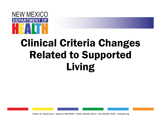

## Clinical Criteria Changes Related to Supported Living

1190 S. St. Francis Drive • Santa Fe, NM 87505 • Phone: 505-827-2613 • Fax: 505-827-2530 • nmhealth.org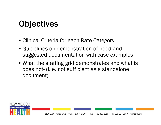### **Objectives**

- Clinical Criteria for each Rate Category
- Guidelines on demonstration of need and suggested documentation with case examples
- What the staffing grid demonstrates and what is does not- (i. e. not sufficient as a standalone document)

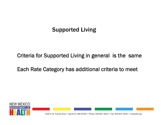#### Supported Living

Criteria for Supported Living in general is the same

Each Rate Category has additional criteria to meet

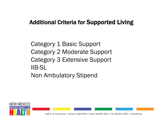#### Additional Criteria for Supported Living

Category 1 Basic Support Category 2 Moderate Support Category 3 Extensive Support IIB-SL Non Ambulatory Stipend

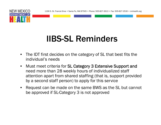



NEW MEXICO

- • The IDT first decides on the category of SL that best fits the individual's needs
- $\bullet$  Must meet criteria for SL Category 3 Extensive Support and need more than 28 weekly hours of individualized staff attention apart from shared staffing (that is, support provided by a second staff person) to apply for this service
- • Request can be made on the same BWS as the SL but cannot be approved if SL-Category 3 is not approved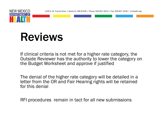

## Reviews

If clinical criteria is not met for a higher rate category, the Outside Reviewer has the authority to lower the category on the Budget Worksheet and approve if justified

The denial of the higher rate category will be detailed in a letter from the OR and Fair Hearing rights will be retained for this denial

RFI procedures remain in tact for all new submissions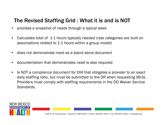#### The Revised Staffing Grid : What it is and is NOT

- •provides a snapshot of needs through a typical week
- • Calculates total of 1:1 hours typically needed (rate categories are built on assumptions related to 1:1 hours within a group model)
- •does not demonstrate need as a stand alone document
- •documentation that demonstrates need is also required
- $\bullet$  Is NOT a compliance document for DHI that obligates a provider to an exact daily staffing ratio, but must be submitted to the OR when requesting IIB-SL. Providers must comply with staffing requirements in the DD Waiver Service Standards.